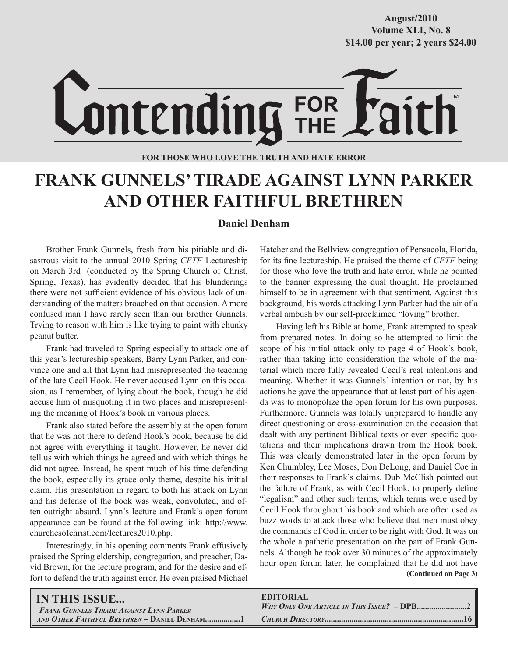**October/2007 Volume XLI, No. 8 Volume XXXVIII, No. 10 \$14.00 per year; 2 years \$24.00 \$14.00 per year; 2 years \$24.00 August/2010**



**FOR THOSE WHO LOVE THE TRUTH AND HATE ERROR**

# **FRANK GUNNELS' TIRADE AGAINST LYNN PARKER AND OTHER FAITHFUL BRETHREN**

### **Daniel Denham**

Brother Frank Gunnels, fresh from his pitiable and disastrous visit to the annual 2010 Spring *CFTF* Lectureship on March 3rd (conducted by the Spring Church of Christ, Spring, Texas), has evidently decided that his blunderings there were not sufficient evidence of his obvious lack of understanding of the matters broached on that occasion. A more confused man I have rarely seen than our brother Gunnels. Trying to reason with him is like trying to paint with chunky peanut butter.

Frank had traveled to Spring especially to attack one of this year's lectureship speakers, Barry Lynn Parker, and convince one and all that Lynn had misrepresented the teaching of the late Cecil Hook. He never accused Lynn on this occasion, as I remember, of lying about the book, though he did accuse him of misquoting it in two places and misrepresenting the meaning of Hook's book in various places.

Frank also stated before the assembly at the open forum that he was not there to defend Hook's book, because he did not agree with everything it taught. However, he never did tell us with which things he agreed and with which things he did not agree. Instead, he spent much of his time defending the book, especially its grace only theme, despite his initial claim. His presentation in regard to both his attack on Lynn and his defense of the book was weak, convoluted, and often outright absurd. Lynn's lecture and Frank's open forum appearance can be found at the following link: http://www. churchesofchrist.com/lectures2010.php.

Interestingly, in his opening comments Frank effusively praised the Spring eldership, congregation, and preacher, David Brown, for the lecture program, and for the desire and effort to defend the truth against error. He even praised Michael Hatcher and the Bellview congregation of Pensacola, Florida, for its fine lectureship. He praised the theme of *CFTF* being for those who love the truth and hate error, while he pointed to the banner expressing the dual thought. He proclaimed himself to be in agreement with that sentiment. Against this background, his words attacking Lynn Parker had the air of a verbal ambush by our self-proclaimed "loving" brother.

 **(Continued on Page 3)** Having left his Bible at home, Frank attempted to speak from prepared notes. In doing so he attempted to limit the scope of his initial attack only to page 4 of Hook's book, rather than taking into consideration the whole of the material which more fully revealed Cecil's real intentions and meaning. Whether it was Gunnels' intention or not, by his actions he gave the appearance that at least part of his agenda was to monopolize the open forum for his own purposes. Furthermore, Gunnels was totally unprepared to handle any direct questioning or cross-examination on the occasion that dealt with any pertinent Biblical texts or even specific quotations and their implications drawn from the Hook book. This was clearly demonstrated later in the open forum by Ken Chumbley, Lee Moses, Don DeLong, and Daniel Coe in their responses to Frank's claims. Dub McClish pointed out the failure of Frank, as with Cecil Hook, to properly define "legalism" and other such terms, which terms were used by Cecil Hook throughout his book and which are often used as buzz words to attack those who believe that men must obey the commands of God in order to be right with God. It was on the whole a pathetic presentation on the part of Frank Gunnels. Although he took over 30 minutes of the approximately hour open forum later, he complained that he did not have

| <b>IN THIS ISSUE</b>                            | <b>EDITORIAL</b> |
|-------------------------------------------------|------------------|
| <b>FRANK GUNNELS TIRADE AGAINST LYNN PARKER</b> |                  |
|                                                 |                  |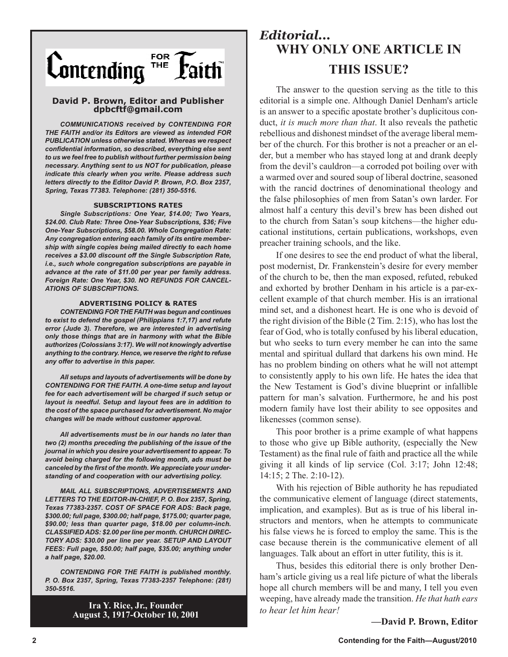

### **David P. Brown, Editor and Publisher dpbcftf@gmail.com**

*COMMUNICATIONS received by CONTENDING FOR THE FAITH and/or its Editors are viewed as intended FOR PUBLICATION unless otherwise stated. Whereas we respect confidential information, so described, everything else sent to us we feel free to publish without further permission being necessary. Anything sent to us NOT for publication, please indicate this clearly when you write. Please address such letters directly to the Editor David P. Brown, P.O. Box 2357, Spring, Texas 77383. Telephone: (281) 350-5516.*

### **SUBSCRIPTIONS RATES**

*Single Subscriptions: One Year, \$14.00; Two Years, \$24.00. Club Rate: Three One-Year Subscriptions, \$36; Five One-Year Subscriptions, \$58.00. Whole Congregation Rate: Any congregation entering each family of its entire membership with single copies being mailed directly to each home receives a \$3.00 discount off the Single Subscription Rate, i.e., such whole congregation subscriptions are payable in advance at the rate of \$11.00 per year per family address. Foreign Rate: One Year, \$30. NO REFUNDS FOR CANCEL-ATIONS OF SUBSCRIPTIONS.*

### **ADVERTISING POLICY & RATES**

*CONTENDING FOR THE FAITH was begun and continues to exist to defend the gospel (Philippians 1:7,17) and refute error (Jude 3). Therefore, we are interested in advertising only those things that are in harmony with what the Bible authorizes (Colossians 3:17). We will not knowingly advertise anything to the contrary. Hence, we reserve the right to refuse any offer to advertise in this paper.*

*All setups and layouts of advertisements will be done by CONTENDING FOR THE FAITH. A one-time setup and layout fee for each advertisement will be charged if such setup or layout is needful. Setup and layout fees are in addition to the cost of the space purchased for advertisement. No major changes will be made without customer approval.*

*All advertisements must be in our hands no later than two (2) months preceding the publishing of the issue of the journal in which you desire your advertisement to appear. To avoid being charged for the following month, ads must be canceled by the first of the month. We appreciate your understanding of and cooperation with our advertising policy.*

*MAIL ALL SUBSCRIPTIONS, ADVERTISEMENTS AND LETTERS TO THE EDITOR-IN-CHIEF, P. O. Box 2357, Spring, Texas 77383-2357. COST OF SPACE FOR ADS: Back page, \$300.00; full page, \$300.00; half page, \$175.00; quarter page, \$90.00; less than quarter page, \$18.00 per column-inch. CLASSIFIED ADS: \$2.00 per line per month. CHURCH DIREC-TORY ADS: \$30.00 per line per year. SETUP AND LAYOUT FEES: Full page, \$50.00; half page, \$35.00; anything under a half page, \$20.00.*

*CONTENDING FOR THE FAITH is published monthly. P. O. Box 2357, Spring, Texas 77383-2357 Telephone: (281) 350-5516.*

> **Ira Y. Rice, Jr., Founder August 3, 1917-October 10, 2001**

## *Editorial...* **WHY ONLY ONE ARTICLE IN THIS ISSUE?**

The answer to the question serving as the title to this editorial is a simple one. Although Daniel Denham's article is an answer to a specific apostate brother's duplicitous conduct, *it is much more than that*. It also reveals the pathetic rebellious and dishonest mindset of the average liberal member of the church. For this brother is not a preacher or an elder, but a member who has stayed long at and drank deeply from the devil's cauldron—a corroded pot boiling over with a warmed over and soured soup of liberal doctrine, seasoned with the rancid doctrines of denominational theology and the false philosophies of men from Satan's own larder. For almost half a century this devil's brew has been dished out to the church from Satan's soup kitchens—the higher educational institutions, certain publications, workshops, even preacher training schools, and the like.

If one desires to see the end product of what the liberal, post modernist, Dr. Frankenstein's desire for every member of the church to be, then the man exposed, refuted, rebuked and exhorted by brother Denham in his article is a par-excellent example of that church member. His is an irrational mind set, and a dishonest heart. He is one who is devoid of the right division of the Bible (2 Tim. 2:15), who has lost the fear of God, who is totally confused by his liberal education, but who seeks to turn every member he can into the same mental and spiritual dullard that darkens his own mind. He has no problem binding on others what he will not attempt to consistently apply to his own life. He hates the idea that the New Testament is God's divine blueprint or infallible pattern for man's salvation. Furthermore, he and his post modern family have lost their ability to see opposites and likenesses (common sense).

This poor brother is a prime example of what happens to those who give up Bible authority, (especially the New Testament) as the final rule of faith and practice all the while giving it all kinds of lip service (Col. 3:17; John 12:48; 14:15; 2 The. 2:10-12).

With his rejection of Bible authority he has repudiated the communicative element of language (direct statements, implication, and examples). But as is true of his liberal instructors and mentors, when he attempts to communicate his false views he is forced to employ the same. This is the case because therein is the communicative element of all languages. Talk about an effort in utter futility, this is it.

Thus, besides this editorial there is only brother Denham's article giving us a real life picture of what the liberals hope all church members will be and many, I tell you even weeping, have already made the transition. *He that hath ears to hear let him hear!*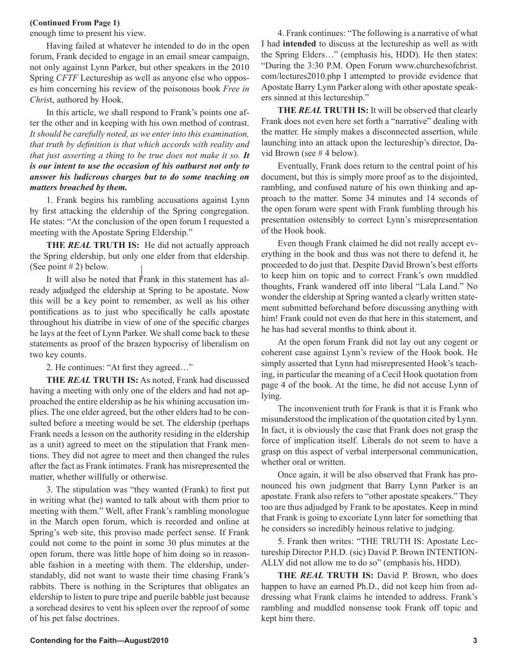### **(Continued From Page 1)**

enough time to present his view.

Having failed at whatever he intended to do in the open forum, Frank decided to engage in an email smear campaign, not only against Lynn Parker, but other speakers in the 2010 Spring *CFTF* Lectureship as well as anyone else who opposes him concerning his review of the poisonous book *Free in Chris*t, authored by Hook.

In this article, we shall respond to Frank's points one after the other and in keeping with his own method of contrast. *It should be carefully noted, as we enter into this examination, that truth by definition is that which accords with reality and that just asserting a thing to be true does not make it so. It is our intent to use the occasion of his outburst not only to answer his ludicrous charges but to do some teaching on matters broached by them.*

1. Frank begins his rambling accusations against Lynn by first attacking the eldership of the Spring congregation. He states: "At the conclusion of the open forum I requested a meeting with the Apostate Spring Eldership."

**THE** *REAL* **TRUTH IS:** He did not actually approach the Spring eldership, but only one elder from that eldership. (See point  $# 2$ ) below.

It will also be noted that Frank in this statement has already adjudged the eldership at Spring to be apostate. Now this will be a key point to remember, as well as his other pontifications as to just who specifically he calls apostate throughout his diatribe in view of one of the specific charges he lays at the feet of Lynn Parker. We shall come back to these statements as proof of the brazen hypocrisy of liberalism on two key counts.

2. He continues: "At first they agreed…"

**THE** *REAL* **TRUTH IS:** As noted, Frank had discussed having a meeting with only one of the elders and had not approached the entire eldership as he his whining accusation implies. The one elder agreed, but the other elders had to be consulted before a meeting would be set. The eldership (perhaps Frank needs a lesson on the authority residing in the eldership as a unit) agreed to meet on the stipulation that Frank mentions. They did not agree to meet and then changed the rules after the fact as Frank intimates. Frank has misrepresented the matter, whether willfully or otherwise.

3. The stipulation was "they wanted (Frank) to first put in writing what (he) wanted to talk about with them prior to meeting with them." Well, after Frank's rambling monologue in the March open forum, which is recorded and online at Spring's web site, this proviso made perfect sense. If Frank could not come to the point in some 30 plus minutes at the open forum, there was little hope of him doing so in reasonable fashion in a meeting with them. The eldership, understandably, did not want to waste their time chasing Frank's rabbits. There is nothing in the Scriptures that obligates an eldership to listen to pure tripe and puerile babble just because a sorehead desires to vent his spleen over the reproof of some of his pet false doctrines.

4. Frank continues: "The following is a narrative of what I had **intended** to discuss at the lectureship as well as with the Spring Elders…" (emphasis his, HDD). He then states: "During the 3:30 P.M. Open Forum www.churchesofchrist. com/lectures2010.php I attempted to provide evidence that Apostate Barry Lynn Parker along with other apostate speakers sinned at this lectureship."

**THE** *REAL* **TRUTH IS:** It will be observed that clearly Frank does not even here set forth a "narrative" dealing with the matter. He simply makes a disconnected assertion, while launching into an attack upon the lectureship's director, David Brown (see # 4 below).

Eventually, Frank does return to the central point of his document, but this is simply more proof as to the disjointed, rambling, and confused nature of his own thinking and approach to the matter. Some 34 minutes and 14 seconds of the open forum were spent with Frank fumbling through his presentation ostensibly to correct Lynn's misrepresentation of the Hook book.

Even though Frank claimed he did not really accept everything in the book and thus was not there to defend it, he proceeded to do just that. Despite David Brown's best efforts to keep him on topic and to correct Frank's own muddled thoughts, Frank wandered off into liberal "Lala Land." No wonder the eldership at Spring wanted a clearly written statement submitted beforehand before discussing anything with him! Frank could not even do that here in this statement, and he has had several months to think about it.

At the open forum Frank did not lay out any cogent or coherent case against Lynn's review of the Hook book. He simply asserted that Lynn had misrepresented Hook's teaching, in particular the meaning of a Cecil Hook quotation from page 4 of the book. At the time, he did not accuse Lynn of lying.

The inconvenient truth for Frank is that it is Frank who misunderstood the implication of the quotation cited by Lynn. In fact, it is obviously the case that Frank does not grasp the force of implication itself. Liberals do not seem to have a grasp on this aspect of verbal interpersonal communication, whether oral or written.

Once again, it will be also observed that Frank has pronounced his own judgment that Barry Lynn Parker is an apostate. Frank also refers to "other apostate speakers." They too are thus adjudged by Frank to be apostates. Keep in mind that Frank is going to excoriate Lynn later for something that he considers so incredibly heinous relative to judging.

5. Frank then writes: "THE TRUTH IS: Apostate Lectureship Director P.H.D. (sic) David P. Brown INTENTION-ALLY did not allow me to do so" (emphasis his, HDD).

**THE** *REAL* **TRUTH IS:** David P. Brown, who does happen to have an earned Ph.D., did not keep him from addressing what Frank claims he intended to address. Frank's rambling and muddled nonsense took Frank off topic and kept him there.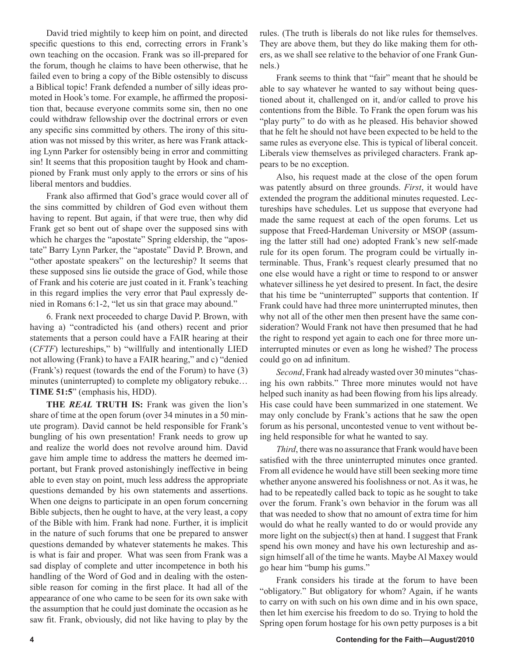David tried mightily to keep him on point, and directed specific questions to this end, correcting errors in Frank's own teaching on the occasion. Frank was so ill-prepared for the forum, though he claims to have been otherwise, that he failed even to bring a copy of the Bible ostensibly to discuss a Biblical topic! Frank defended a number of silly ideas promoted in Hook's tome. For example, he affirmed the proposition that, because everyone commits some sin, then no one could withdraw fellowship over the doctrinal errors or even any specific sins committed by others. The irony of this situation was not missed by this writer, as here was Frank attacking Lynn Parker for ostensibly being in error and committing sin! It seems that this proposition taught by Hook and championed by Frank must only apply to the errors or sins of his liberal mentors and buddies.

Frank also affirmed that God's grace would cover all of the sins committed by children of God even without them having to repent. But again, if that were true, then why did Frank get so bent out of shape over the supposed sins with which he charges the "apostate" Spring eldership, the "apostate" Barry Lynn Parker, the "apostate" David P. Brown, and "other apostate speakers" on the lectureship? It seems that these supposed sins lie outside the grace of God, while those of Frank and his coterie are just coated in it. Frank's teaching in this regard implies the very error that Paul expressly denied in Romans 6:1-2, "let us sin that grace may abound."

6. Frank next proceeded to charge David P. Brown, with having a) "contradicted his (and others) recent and prior statements that a person could have a FAIR hearing at their (*CFTF*) lectureships," b) "willfully and intentionally LIED not allowing (Frank) to have a FAIR hearing," and c) "denied (Frank's) request (towards the end of the Forum) to have (3) minutes (uninterrupted) to complete my obligatory rebuke… **TIME 51:5**" (emphasis his, HDD).

**THE** *REAL* **TRUTH IS:** Frank was given the lion's share of time at the open forum (over 34 minutes in a 50 minute program). David cannot be held responsible for Frank's bungling of his own presentation! Frank needs to grow up and realize the world does not revolve around him. David gave him ample time to address the matters he deemed important, but Frank proved astonishingly ineffective in being able to even stay on point, much less address the appropriate questions demanded by his own statements and assertions. When one deigns to participate in an open forum concerning Bible subjects, then he ought to have, at the very least, a copy of the Bible with him. Frank had none. Further, it is implicit in the nature of such forums that one be prepared to answer questions demanded by whatever statements he makes. This is what is fair and proper. What was seen from Frank was a sad display of complete and utter incompetence in both his handling of the Word of God and in dealing with the ostensible reason for coming in the first place. It had all of the appearance of one who came to be seen for its own sake with the assumption that he could just dominate the occasion as he saw fit. Frank, obviously, did not like having to play by the

rules. (The truth is liberals do not like rules for themselves. They are above them, but they do like making them for others, as we shall see relative to the behavior of one Frank Gunnels.)

Frank seems to think that "fair" meant that he should be able to say whatever he wanted to say without being questioned about it, challenged on it, and/or called to prove his contentions from the Bible. To Frank the open forum was his "play purty" to do with as he pleased. His behavior showed that he felt he should not have been expected to be held to the same rules as everyone else. This is typical of liberal conceit. Liberals view themselves as privileged characters. Frank appears to be no exception.

Also, his request made at the close of the open forum was patently absurd on three grounds. *First*, it would have extended the program the additional minutes requested. Lectureships have schedules. Let us suppose that everyone had made the same request at each of the open forums. Let us suppose that Freed-Hardeman University or MSOP (assuming the latter still had one) adopted Frank's new self-made rule for its open forum. The program could be virtually interminable. Thus, Frank's request clearly presumed that no one else would have a right or time to respond to or answer whatever silliness he yet desired to present. In fact, the desire that his time be "uninterrupted" supports that contention. If Frank could have had three more uninterrupted minutes, then why not all of the other men then present have the same consideration? Would Frank not have then presumed that he had the right to respond yet again to each one for three more uninterrupted minutes or even as long he wished? The process could go on ad infinitum.

*Second*, Frank had already wasted over 30 minutes "chasing his own rabbits." Three more minutes would not have helped such inanity as had been flowing from his lips already. His case could have been summarized in one statement. We may only conclude by Frank's actions that he saw the open forum as his personal, uncontested venue to vent without being held responsible for what he wanted to say.

*Third*, there was no assurance that Frank would have been satisfied with the three uninterrupted minutes once granted. From all evidence he would have still been seeking more time whether anyone answered his foolishness or not. As it was, he had to be repeatedly called back to topic as he sought to take over the forum. Frank's own behavior in the forum was all that was needed to show that no amount of extra time for him would do what he really wanted to do or would provide any more light on the subject(s) then at hand. I suggest that Frank spend his own money and have his own lectureship and assign himself all of the time he wants. Maybe Al Maxey would go hear him "bump his gums."

Frank considers his tirade at the forum to have been "obligatory." But obligatory for whom? Again, if he wants to carry on with such on his own dime and in his own space, then let him exercise his freedom to do so. Trying to hold the Spring open forum hostage for his own petty purposes is a bit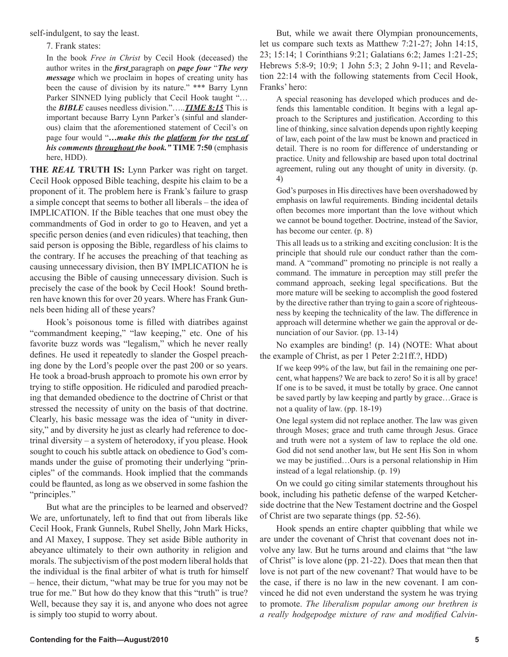self-indulgent, to say the least.

7. Frank states:

In the book *Free in Christ* by Cecil Hook (deceased) the author writes in the *first* paragraph on *page four* "*The very message* which we proclaim in hopes of creating unity has been the cause of division by its nature." \*\*\* Barry Lynn Parker SINNED lying publicly that Cecil Hook taught "… the *BIBLE* causes needless division."…..*TIME 8:15* This is important because Barry Lynn Parker's (sinful and slanderous) claim that the aforementioned statement of Cecil's on page four would "*…make this the platform for the rest of his comments throughout the book."* **TIME 7:50** (emphasis here, HDD).

**THE** *REAL* **TRUTH IS:** Lynn Parker was right on target. Cecil Hook opposed Bible teaching, despite his claim to be a proponent of it. The problem here is Frank's failure to grasp a simple concept that seems to bother all liberals – the idea of IMPLICATION. If the Bible teaches that one must obey the commandments of God in order to go to Heaven, and yet a specific person denies (and even ridicules) that teaching, then said person is opposing the Bible, regardless of his claims to the contrary. If he accuses the preaching of that teaching as causing unnecessary division, then BY IMPLICATION he is accusing the Bible of causing unnecessary division. Such is precisely the case of the book by Cecil Hook! Sound brethren have known this for over 20 years. Where has Frank Gunnels been hiding all of these years?

Hook's poisonous tome is filled with diatribes against "commandment keeping," "law keeping," etc. One of his favorite buzz words was "legalism," which he never really defines. He used it repeatedly to slander the Gospel preaching done by the Lord's people over the past 200 or so years. He took a broad-brush approach to promote his own error by trying to stifle opposition. He ridiculed and parodied preaching that demanded obedience to the doctrine of Christ or that stressed the necessity of unity on the basis of that doctrine. Clearly, his basic message was the idea of "unity in diversity," and by diversity he just as clearly had reference to doctrinal diversity – a system of heterodoxy, if you please. Hook sought to couch his subtle attack on obedience to God's commands under the guise of promoting their underlying "principles" of the commands. Hook implied that the commands could be flaunted, as long as we observed in some fashion the "principles."

But what are the principles to be learned and observed? We are, unfortunately, left to find that out from liberals like Cecil Hook, Frank Gunnels, Rubel Shelly, John Mark Hicks, and Al Maxey, I suppose. They set aside Bible authority in abeyance ultimately to their own authority in religion and morals. The subjectivism of the post modern liberal holds that the individual is the final arbiter of what is truth for himself – hence, their dictum, "what may be true for you may not be true for me." But how do they know that this "truth" is true? Well, because they say it is, and anyone who does not agree is simply too stupid to worry about.

But, while we await there Olympian pronouncements, let us compare such texts as Matthew 7:21-27; John 14:15, 23; 15:14; 1 Corinthians 9:21; Galatians 6:2; James 1:21-25; Hebrews 5:8-9; 10:9; 1 John 5:3; 2 John 9-11; and Revelation 22:14 with the following statements from Cecil Hook, Franks' hero:

A special reasoning has developed which produces and defends this lamentable condition. It begins with a legal approach to the Scriptures and justification. According to this line of thinking, since salvation depends upon rightly keeping of law, each point of the law must be known and practiced in detail. There is no room for difference of understanding or practice. Unity and fellowship are based upon total doctrinal agreement, ruling out any thought of unity in diversity. (p. 4)

God's purposes in His directives have been overshadowed by emphasis on lawful requirements. Binding incidental details often becomes more important than the love without which we cannot be bound together. Doctrine, instead of the Savior, has become our center. (p. 8)

This all leads us to a striking and exciting conclusion: It is the principle that should rule our conduct rather than the command. A "command" promoting no principle is not really a command. The immature in perception may still prefer the command approach, seeking legal specifications. But the more mature will be seeking to accomplish the good fostered by the directive rather than trying to gain a score of righteousness by keeping the technicality of the law. The difference in approach will determine whether we gain the approval or denunciation of our Savior. (pp. 13-14)

No examples are binding! (p. 14) (NOTE: What about the example of Christ, as per 1 Peter 2:21ff.?, HDD)

If we keep 99% of the law, but fail in the remaining one percent, what happens? We are back to zero! So it is all by grace! If one is to be saved, it must be totally by grace. One cannot be saved partly by law keeping and partly by grace…Grace is not a quality of law. (pp. 18-19)

One legal system did not replace another. The law was given through Moses; grace and truth came through Jesus. Grace and truth were not a system of law to replace the old one. God did not send another law, but He sent His Son in whom we may be justified…Ours is a personal relationship in Him instead of a legal relationship. (p. 19)

On we could go citing similar statements throughout his book, including his pathetic defense of the warped Ketcherside doctrine that the New Testament doctrine and the Gospel of Christ are two separate things (pp. 52-56).

Hook spends an entire chapter quibbling that while we are under the covenant of Christ that covenant does not involve any law. But he turns around and claims that "the law of Christ" is love alone (pp. 21-22). Does that mean then that love is not part of the new covenant? That would have to be the case, if there is no law in the new covenant. I am convinced he did not even understand the system he was trying to promote. *The liberalism popular among our brethren is a really hodgepodge mixture of raw and modified Calvin-*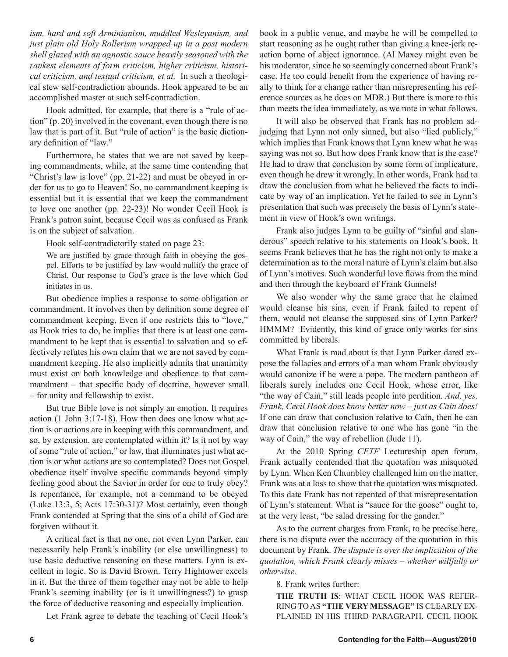*ism, hard and soft Arminianism, muddled Wesleyanism, and just plain old Holy Rollerism wrapped up in a post modern shell glazed with an agnostic sauce heavily seasoned with the rankest elements of form criticism, higher criticism, historical criticism, and textual criticism, et al.* In such a theological stew self-contradiction abounds. Hook appeared to be an accomplished master at such self-contradiction.

Hook admitted, for example, that there is a "rule of action" (p. 20) involved in the covenant, even though there is no law that is part of it. But "rule of action" is the basic dictionary definition of "law."

Furthermore, he states that we are not saved by keeping commandments, while, at the same time contending that "Christ's law is love" (pp. 21-22) and must be obeyed in order for us to go to Heaven! So, no commandment keeping is essential but it is essential that we keep the commandment to love one another (pp. 22-23)! No wonder Cecil Hook is Frank's patron saint, because Cecil was as confused as Frank is on the subject of salvation.

Hook self-contradictorily stated on page 23:

We are justified by grace through faith in obeying the gospel. Efforts to be justified by law would nullify the grace of Christ. Our response to God's grace is the love which God initiates in us.

But obedience implies a response to some obligation or commandment. It involves then by definition some degree of commandment keeping. Even if one restricts this to "love," as Hook tries to do, he implies that there is at least one commandment to be kept that is essential to salvation and so effectively refutes his own claim that we are not saved by commandment keeping. He also implicitly admits that unanimity must exist on both knowledge and obedience to that commandment – that specific body of doctrine, however small – for unity and fellowship to exist.

But true Bible love is not simply an emotion. It requires action (1 John 3:17-18). How then does one know what action is or actions are in keeping with this commandment, and so, by extension, are contemplated within it? Is it not by way of some "rule of action," or law, that illuminates just what action is or what actions are so contemplated? Does not Gospel obedience itself involve specific commands beyond simply feeling good about the Savior in order for one to truly obey? Is repentance, for example, not a command to be obeyed (Luke 13:3, 5; Acts 17:30-31)? Most certainly, even though Frank contended at Spring that the sins of a child of God are forgiven without it.

A critical fact is that no one, not even Lynn Parker, can necessarily help Frank's inability (or else unwillingness) to use basic deductive reasoning on these matters. Lynn is excellent in logic. So is David Brown. Terry Hightower excels in it. But the three of them together may not be able to help Frank's seeming inability (or is it unwillingness?) to grasp the force of deductive reasoning and especially implication.

Let Frank agree to debate the teaching of Cecil Hook's

book in a public venue, and maybe he will be compelled to start reasoning as he ought rather than giving a knee-jerk reaction borne of abject ignorance. (Al Maxey might even be his moderator, since he so seemingly concerned about Frank's case. He too could benefit from the experience of having really to think for a change rather than misrepresenting his reference sources as he does on MDR.) But there is more to this than meets the idea immediately, as we note in what follows.

It will also be observed that Frank has no problem adjudging that Lynn not only sinned, but also "lied publicly," which implies that Frank knows that Lynn knew what he was saying was not so. But how does Frank know that is the case? He had to draw that conclusion by some form of implicature, even though he drew it wrongly. In other words, Frank had to draw the conclusion from what he believed the facts to indicate by way of an implication. Yet he failed to see in Lynn's presentation that such was precisely the basis of Lynn's statement in view of Hook's own writings.

Frank also judges Lynn to be guilty of "sinful and slanderous" speech relative to his statements on Hook's book. It seems Frank believes that he has the right not only to make a determination as to the moral nature of Lynn's claim but also of Lynn's motives. Such wonderful love flows from the mind and then through the keyboard of Frank Gunnels!

We also wonder why the same grace that he claimed would cleanse his sins, even if Frank failed to repent of them, would not cleanse the supposed sins of Lynn Parker? HMMM? Evidently, this kind of grace only works for sins committed by liberals.

What Frank is mad about is that Lynn Parker dared expose the fallacies and errors of a man whom Frank obviously would canonize if he were a pope. The modern pantheon of liberals surely includes one Cecil Hook, whose error, like "the way of Cain," still leads people into perdition. *And, yes, Frank, Cecil Hook does know better now – just as Cain does!*  If one can draw that conclusion relative to Cain, then he can draw that conclusion relative to one who has gone "in the way of Cain," the way of rebellion (Jude 11).

At the 2010 Spring *CFTF* Lectureship open forum, Frank actually contended that the quotation was misquoted by Lynn. When Ken Chumbley challenged him on the matter, Frank was at a loss to show that the quotation was misquoted. To this date Frank has not repented of that misrepresentation of Lynn's statement. What is "sauce for the goose" ought to, at the very least, "be salad dressing for the gander."

As to the current charges from Frank, to be precise here, there is no dispute over the accuracy of the quotation in this document by Frank. *The dispute is over the implication of the quotation, which Frank clearly misses – whether willfully or otherwise.* 

8. Frank writes further:

**THE TRUTH IS**: WHAT CECIL HOOK WAS REFER-RING TO AS **"THE VERY MESSAGE"** IS CLEARLY EX-PLAINED IN HIS THIRD PARAGRAPH. CECIL HOOK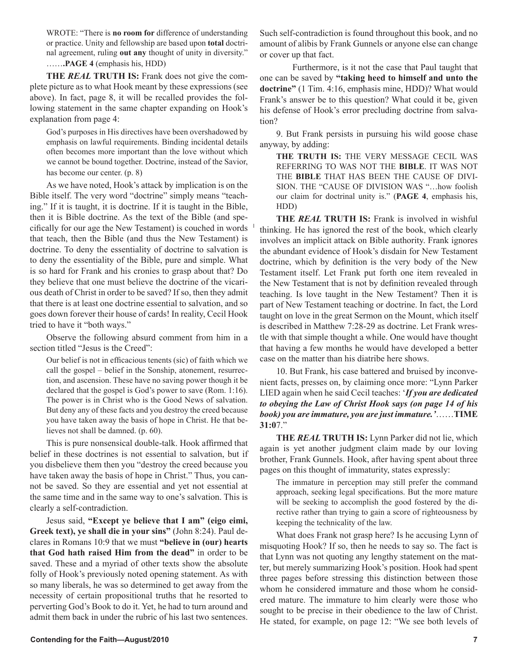WROTE: "There is **no room for** difference of understanding or practice. Unity and fellowship are based upon **total** doctrinal agreement, ruling **out any** thought of unity in diversity." ……**.PAGE 4** (emphasis his, HDD)

**THE** *REAL* **TRUTH IS:** Frank does not give the complete picture as to what Hook meant by these expressions (see above). In fact, page 8, it will be recalled provides the following statement in the same chapter expanding on Hook's explanation from page 4:

God's purposes in His directives have been overshadowed by emphasis on lawful requirements. Binding incidental details often becomes more important than the love without which we cannot be bound together. Doctrine, instead of the Savior, has become our center. (p. 8)

As we have noted, Hook's attack by implication is on the Bible itself. The very word "doctrine" simply means "teaching." If it is taught, it is doctrine. If it is taught in the Bible, then it is Bible doctrine. As the text of the Bible (and specifically for our age the New Testament) is couched in words that teach, then the Bible (and thus the New Testament) is doctrine. To deny the essentiality of doctrine to salvation is to deny the essentiality of the Bible, pure and simple. What is so hard for Frank and his cronies to grasp about that? Do they believe that one must believe the doctrine of the vicarious death of Christ in order to be saved? If so, then they admit that there is at least one doctrine essential to salvation, and so goes down forever their house of cards! In reality, Cecil Hook tried to have it "both ways."

Observe the following absurd comment from him in a section titled "Jesus is the Creed":

Our belief is not in efficacious tenents (sic) of faith which we call the gospel – belief in the Sonship, atonement, resurrection, and ascension. These have no saving power though it be declared that the gospel is God's power to save (Rom. 1:16). The power is in Christ who is the Good News of salvation. But deny any of these facts and you destroy the creed because you have taken away the basis of hope in Christ. He that believes not shall be damned. (p. 60).

This is pure nonsensical double-talk. Hook affirmed that belief in these doctrines is not essential to salvation, but if you disbelieve them then you "destroy the creed because you have taken away the basis of hope in Christ." Thus, you cannot be saved. So they are essential and yet not essential at the same time and in the same way to one's salvation. This is clearly a self-contradiction.

Jesus said, **"Except ye believe that I am" (eigo eimi, Greek text), ye shall die in your sins"** (John 8:24). Paul declares in Romans 10:9 that we must **"believe in (our) hearts that God hath raised Him from the dead"** in order to be saved. These and a myriad of other texts show the absolute folly of Hook's previously noted opening statement. As with so many liberals, he was so determined to get away from the necessity of certain propositional truths that he resorted to perverting God's Book to do it. Yet, he had to turn around and admit them back in under the rubric of his last two sentences.

Such self-contradiction is found throughout this book, and no amount of alibis by Frank Gunnels or anyone else can change or cover up that fact.

 Furthermore, is it not the case that Paul taught that one can be saved by **"taking heed to himself and unto the doctrine"** (1 Tim. 4:16, emphasis mine, HDD)? What would Frank's answer be to this question? What could it be, given his defense of Hook's error precluding doctrine from salvation?

9. But Frank persists in pursuing his wild goose chase anyway, by adding:

**THE TRUTH IS:** THE VERY MESSAGE CECIL WAS REFERRING TO WAS NOT THE **BIBLE**. IT WAS NOT THE **BIBLE** THAT HAS BEEN THE CAUSE OF DIVI-SION. THE "CAUSE OF DIVISION WAS "…how foolish our claim for doctrinal unity is." (**PAGE 4**, emphasis his, HDD)

**THE** *REAL* **TRUTH IS:** Frank is involved in wishful thinking. He has ignored the rest of the book, which clearly involves an implicit attack on Bible authority. Frank ignores the abundant evidence of Hook's disdain for New Testament doctrine, which by definition is the very body of the New Testament itself. Let Frank put forth one item revealed in the New Testament that is not by definition revealed through teaching. Is love taught in the New Testament? Then it is part of New Testament teaching or doctrine. In fact, the Lord taught on love in the great Sermon on the Mount, which itself is described in Matthew 7:28-29 as doctrine. Let Frank wrestle with that simple thought a while. One would have thought that having a few months he would have developed a better case on the matter than his diatribe here shows.

10. But Frank, his case battered and bruised by inconvenient facts, presses on, by claiming once more: "Lynn Parker LIED again when he said Cecil teaches: '*If you are dedicated to obeying the Law of Christ Hook says (on page 14 of his book) you are immature, you are just immature.'*……**TIME 31:0**7."

**THE** *REAL* **TRUTH IS:** Lynn Parker did not lie, which again is yet another judgment claim made by our loving brother, Frank Gunnels. Hook, after having spent about three pages on this thought of immaturity, states expressly:

The immature in perception may still prefer the command approach, seeking legal specifications. But the more mature will be seeking to accomplish the good fostered by the directive rather than trying to gain a score of righteousness by keeping the technicality of the law.

What does Frank not grasp here? Is he accusing Lynn of misquoting Hook? If so, then he needs to say so. The fact is that Lynn was not quoting any lengthy statement on the matter, but merely summarizing Hook's position. Hook had spent three pages before stressing this distinction between those whom he considered immature and those whom he considered mature. The immature to him clearly were those who sought to be precise in their obedience to the law of Christ. He stated, for example, on page 12: "We see both levels of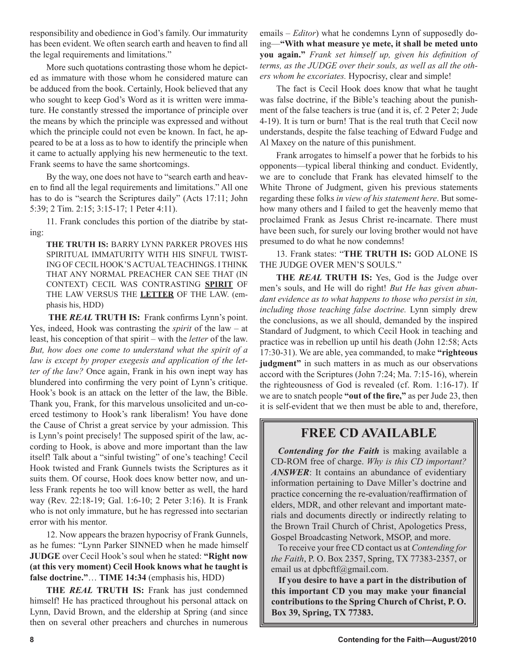responsibility and obedience in God's family. Our immaturity has been evident. We often search earth and heaven to find all the legal requirements and limitations."

More such quotations contrasting those whom he depicted as immature with those whom he considered mature can be adduced from the book. Certainly, Hook believed that any who sought to keep God's Word as it is written were immature. He constantly stressed the importance of principle over the means by which the principle was expressed and without which the principle could not even be known. In fact, he appeared to be at a loss as to how to identify the principle when it came to actually applying his new hermeneutic to the text. Frank seems to have the same shortcomings.

By the way, one does not have to "search earth and heaven to find all the legal requirements and limitations." All one has to do is "search the Scriptures daily" (Acts 17:11; John 5:39; 2 Tim. 2:15; 3:15-17; 1 Peter 4:11).

11. Frank concludes this portion of the diatribe by stating:

**THE TRUTH IS:** BARRY LYNN PARKER PROVES HIS SPIRITUAL IMMATURITY WITH HIS SINFUL TWIST-ING OF CECIL HOOK'S ACTUAL TEACHINGS. I THINK THAT ANY NORMAL PREACHER CAN SEE THAT (IN CONTEXT) CECIL WAS CONTRASTING **SPIRIT** OF THE LAW VERSUS THE **LETTER** OF THE LAW. (emphasis his, HDD)

**THE** *REAL* **TRUTH IS:** Frank confirms Lynn's point. Yes, indeed, Hook was contrasting the *spirit* of the law – at least, his conception of that spirit – with the *letter* of the law. *But, how does one come to understand what the spirit of a law is except by proper exegesis and application of the letter of the law?* Once again, Frank in his own inept way has blundered into confirming the very point of Lynn's critique. Hook's book is an attack on the letter of the law, the Bible. Thank you, Frank, for this marvelous unsolicited and un-coerced testimony to Hook's rank liberalism! You have done the Cause of Christ a great service by your admission. This is Lynn's point precisely! The supposed spirit of the law, according to Hook, is above and more important than the law itself! Talk about a "sinful twisting" of one's teaching! Cecil Hook twisted and Frank Gunnels twists the Scriptures as it suits them. Of course, Hook does know better now, and unless Frank repents he too will know better as well, the hard way (Rev. 22:18-19; Gal. 1:6-10; 2 Peter 3:16). It is Frank who is not only immature, but he has regressed into sectarian error with his mentor.

12. Now appears the brazen hypocrisy of Frank Gunnels, as he fumes: "Lynn Parker SINNED when he made himself **JUDGE** over Cecil Hook's soul when he stated: **"Right now (at this very moment) Cecil Hook knows what he taught is false doctrine."**… **TIME 14:34** (emphasis his, HDD)

**THE** *REAL* **TRUTH IS:** Frank has just condemned himself! He has practiced throughout his personal attack on Lynn, David Brown, and the eldership at Spring (and since then on several other preachers and churches in numerous emails – *Editor*) what he condemns Lynn of supposedly doing—**"With what measure ye mete, it shall be meted unto you again."** *Frank set himself up, given his definition of terms, as the JUDGE over their souls, as well as all the others whom he excoriates.* Hypocrisy, clear and simple!

The fact is Cecil Hook does know that what he taught was false doctrine, if the Bible's teaching about the punishment of the false teachers is true (and it is, cf. 2 Peter 2; Jude 4-19). It is turn or burn! That is the real truth that Cecil now understands, despite the false teaching of Edward Fudge and Al Maxey on the nature of this punishment.

Frank arrogates to himself a power that he forbids to his opponents—typical liberal thinking and conduct. Evidently, we are to conclude that Frank has elevated himself to the White Throne of Judgment, given his previous statements regarding these folks *in view of his statement here*. But somehow many others and I failed to get the heavenly memo that proclaimed Frank as Jesus Christ re-incarnate. There must have been such, for surely our loving brother would not have presumed to do what he now condemns!

13. Frank states: "**THE TRUTH IS:** GOD ALONE IS THE JUDGE OVER MEN'S SOULS."

**THE** *REAL* **TRUTH IS:** Yes, God is the Judge over men's souls, and He will do right! *But He has given abundant evidence as to what happens to those who persist in sin, including those teaching false doctrine.* Lynn simply drew the conclusions, as we all should, demanded by the inspired Standard of Judgment, to which Cecil Hook in teaching and practice was in rebellion up until his death (John 12:58; Acts 17:30-31). We are able, yea commanded, to make **"righteous judgment"** in such matters in as much as our observations accord with the Scriptures (John 7:24; Ma. 7:15-16), wherein the righteousness of God is revealed (cf. Rom. 1:16-17). If we are to snatch people **"out of the fire,"** as per Jude 23, then it is self-evident that we then must be able to and, therefore,

### **FREE CD AVAILABLE**

*Contending for the Faith* is making available a CD-ROM free of charge. *Why is this CD important? ANSWER*: It contains an abundance of evidentiary information pertaining to Dave Miller's doctrine and practice concerning the re-evaluation/reaffirmation of elders, MDR, and other relevant and important materials and documents directly or indirectly relating to the Brown Trail Church of Christ, Apologetics Press, Gospel Broadcasting Network, MSOP, and more.

To receive your free CD contact us at *Contending for the Faith*, P. O. Box 2357, Spring, TX 77383-2357, or email us at dpbcftf@gmail.com.

**If you desire to have a part in the distribution of this important CD you may make your financial contributions to the Spring Church of Christ, P. O. Box 39, Spring, TX 77383.**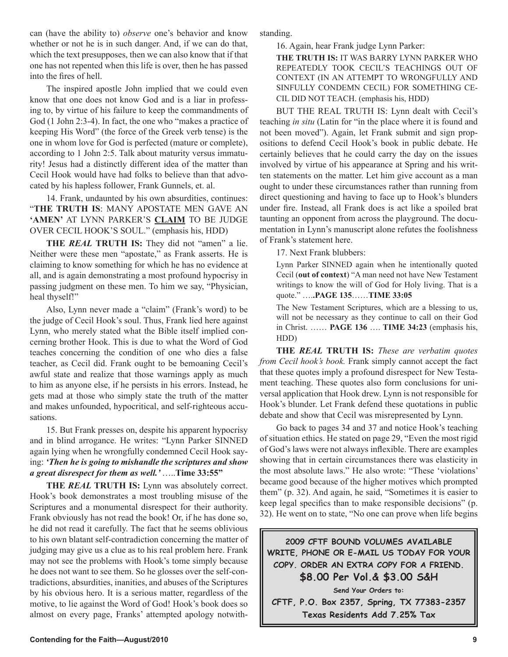can (have the ability to) *observe* one's behavior and know whether or not he is in such danger. And, if we can do that, which the text presupposes, then we can also know that if that one has not repented when this life is over, then he has passed into the fires of hell.

The inspired apostle John implied that we could even know that one does not know God and is a liar in professing to, by virtue of his failure to keep the commandments of God (1 John 2:3-4). In fact, the one who "makes a practice of keeping His Word" (the force of the Greek verb tense) is the one in whom love for God is perfected (mature or complete), according to 1 John 2:5. Talk about maturity versus immaturity! Jesus had a distinctly different idea of the matter than Cecil Hook would have had folks to believe than that advocated by his hapless follower, Frank Gunnels, et. al.

14. Frank, undaunted by his own absurdities, continues: "**THE TRUTH IS**: MANY APOSTATE MEN GAVE AN **'AMEN'** AT LYNN PARKER'S **CLAIM** TO BE JUDGE OVER CECIL HOOK'S SOUL." (emphasis his, HDD)

**THE** *REAL* **TRUTH IS:** They did not "amen" a lie. Neither were these men "apostate," as Frank asserts. He is claiming to know something for which he has no evidence at all, and is again demonstrating a most profound hypocrisy in passing judgment on these men. To him we say, "Physician, heal thyself!"

Also, Lynn never made a "claim" (Frank's word) to be the judge of Cecil Hook's soul. Thus, Frank lied here against Lynn, who merely stated what the Bible itself implied concerning brother Hook. This is due to what the Word of God teaches concerning the condition of one who dies a false teacher, as Cecil did. Frank ought to be bemoaning Cecil's awful state and realize that those warnings apply as much to him as anyone else, if he persists in his errors. Instead, he gets mad at those who simply state the truth of the matter and makes unfounded, hypocritical, and self-righteous accusations.

15. But Frank presses on, despite his apparent hypocrisy and in blind arrogance. He writes: "Lynn Parker SINNED again lying when he wrongfully condemned Cecil Hook saying: *'Then he is going to mishandle the scriptures and show a great disrespect for them as well.'* …..**Time 33:55"**

**THE** *REAL* **TRUTH IS:** Lynn was absolutely correct. Hook's book demonstrates a most troubling misuse of the Scriptures and a monumental disrespect for their authority. Frank obviously has not read the book! Or, if he has done so, he did not read it carefully. The fact that he seems oblivious to his own blatant self-contradiction concerning the matter of judging may give us a clue as to his real problem here. Frank may not see the problems with Hook's tome simply because he does not want to see them. So he glosses over the self-contradictions, absurdities, inanities, and abuses of the Scriptures by his obvious hero. It is a serious matter, regardless of the motive, to lie against the Word of God! Hook's book does so almost on every page, Franks' attempted apology notwithstanding.

16. Again, hear Frank judge Lynn Parker:

**THE TRUTH IS:** IT WAS BARRY LYNN PARKER WHO REPEATEDLY TOOK CECIL'S TEACHINGS OUT OF CONTEXT (IN AN ATTEMPT TO WRONGFULLY AND SINFULLY CONDEMN CECIL) FOR SOMETHING CE-CIL DID NOT TEACH. (emphasis his, HDD)

BUT THE REAL TRUTH IS: Lynn dealt with Cecil's teaching *in situ* (Latin for "in the place where it is found and not been moved"). Again, let Frank submit and sign propositions to defend Cecil Hook's book in public debate. He certainly believes that he could carry the day on the issues involved by virtue of his appearance at Spring and his written statements on the matter. Let him give account as a man ought to under these circumstances rather than running from direct questioning and having to face up to Hook's blunders under fire. Instead, all Frank does is act like a spoiled brat taunting an opponent from across the playground. The documentation in Lynn's manuscript alone refutes the foolishness of Frank's statement here.

17. Next Frank blubbers:

Lynn Parker SINNED again when he intentionally quoted Cecil (**out of context**) "A man need not have New Testament writings to know the will of God for Holy living. That is a quote." ….**.PAGE 135**……**TIME 33:05** 

The New Testament Scriptures, which are a blessing to us, will not be necessary as they continue to call on their God in Christ. …… **PAGE 136** …. **TIME 34:23** (emphasis his, HDD)

**THE** *REAL* **TRUTH IS:** *These are verbatim quotes from Cecil hook's book.* Frank simply cannot accept the fact that these quotes imply a profound disrespect for New Testament teaching. These quotes also form conclusions for universal application that Hook drew. Lynn is not responsible for Hook's blunder. Let Frank defend these quotations in public debate and show that Cecil was misrepresented by Lynn.

Go back to pages 34 and 37 and notice Hook's teaching of situation ethics. He stated on page 29, "Even the most rigid of God's laws were not always inflexible. There are examples showing that in certain circumstances there was elasticity in the most absolute laws." He also wrote: "These 'violations' became good because of the higher motives which prompted them" (p. 32). And again, he said, "Sometimes it is easier to keep legal specifics than to make responsible decisions" (p. 32). He went on to state, "No one can prove when life begins

**2009 CFTF BOUND VOLUMES AVAILABLE WRITE, PHONE OR E-MAIL US TODAY FOR YOUR COPY. ORDER AN EXTRA COPY FOR A FRIEND. \$8.00 Per Vol.& \$3.00 S&H**

**Send Your Orders to:**

**CFTF, P.O. Box 2357, Spring, TX 77383-2357 Texas Residents Add 7.25% Tax**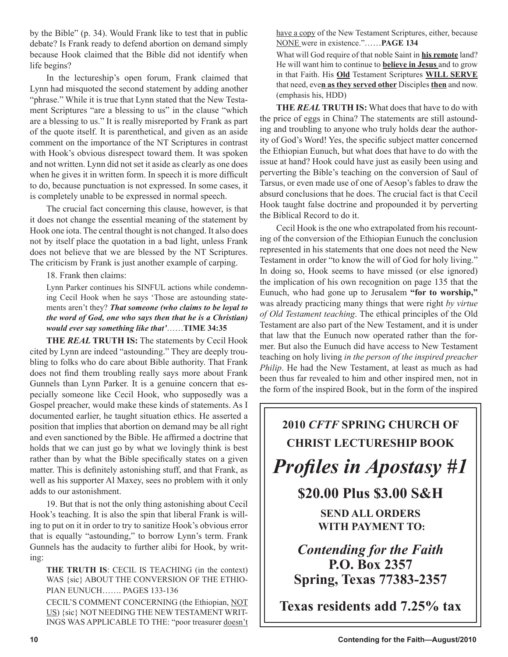by the Bible" (p. 34). Would Frank like to test that in public debate? Is Frank ready to defend abortion on demand simply because Hook claimed that the Bible did not identify when life begins?

In the lectureship's open forum, Frank claimed that Lynn had misquoted the second statement by adding another "phrase." While it is true that Lynn stated that the New Testament Scriptures "are a blessing to us" in the clause "which are a blessing to us." It is really misreported by Frank as part of the quote itself. It is parenthetical, and given as an aside comment on the importance of the NT Scriptures in contrast with Hook's obvious disrespect toward them. It was spoken and not written. Lynn did not set it aside as clearly as one does when he gives it in written form. In speech it is more difficult to do, because punctuation is not expressed. In some cases, it is completely unable to be expressed in normal speech.

The crucial fact concerning this clause, however, is that it does not change the essential meaning of the statement by Hook one iota. The central thought is not changed. It also does not by itself place the quotation in a bad light, unless Frank does not believe that we are blessed by the NT Scriptures. The criticism by Frank is just another example of carping.

18. Frank then claims:

Lynn Parker continues his SINFUL actions while condemning Cecil Hook when he says 'Those are astounding statements aren't they? *That someone (who claims to be loyal to the word of God, one who says then that he is a Christian) would ever say something like that'*……**TIME 34:35**

**THE** *REAL* **TRUTH IS:** The statements by Cecil Hook cited by Lynn are indeed "astounding." They are deeply troubling to folks who do care about Bible authority. That Frank does not find them troubling really says more about Frank Gunnels than Lynn Parker. It is a genuine concern that especially someone like Cecil Hook, who supposedly was a Gospel preacher, would make these kinds of statements. As I documented earlier, he taught situation ethics. He asserted a position that implies that abortion on demand may be all right and even sanctioned by the Bible. He affirmed a doctrine that holds that we can just go by what we lovingly think is best rather than by what the Bible specifically states on a given matter. This is definitely astonishing stuff, and that Frank, as well as his supporter Al Maxey, sees no problem with it only adds to our astonishment.

19. But that is not the only thing astonishing about Cecil Hook's teaching. It is also the spin that liberal Frank is willing to put on it in order to try to sanitize Hook's obvious error that is equally "astounding," to borrow Lynn's term. Frank Gunnels has the audacity to further alibi for Hook, by writing:

**THE TRUTH IS**: CECIL IS TEACHING (in the context) WAS {sic} ABOUT THE CONVERSION OF THE ETHIO-PIAN EUNUCH……. PAGES 133-136

CECIL'S COMMENT CONCERNING (the Ethiopian, NOT US) {sic} NOT NEEDING THE NEW TESTAMENT WRIT-INGS WAS APPLICABLE TO THE: "poor treasurer doesn't have a copy of the New Testament Scriptures, either, because NONE were in existence."……**PAGE 134**

What will God require of that noble Saint in **his remote** land? He will want him to continue to **believe in Jesus** and to grow in that Faith. His **Old** Testament Scriptures **WILL SERVE** that need, eve**n as they served other** Disciples **then** and now. (emphasis his, HDD)

**THE** *REAL* **TRUTH IS:** What does that have to do with the price of eggs in China? The statements are still astounding and troubling to anyone who truly holds dear the authority of God's Word! Yes, the specific subject matter concerned the Ethiopian Eunuch, but what does that have to do with the issue at hand? Hook could have just as easily been using and perverting the Bible's teaching on the conversion of Saul of Tarsus, or even made use of one of Aesop's fables to draw the absurd conclusions that he does. The crucial fact is that Cecil Hook taught false doctrine and propounded it by perverting the Biblical Record to do it.

Cecil Hook is the one who extrapolated from his recounting of the conversion of the Ethiopian Eunuch the conclusion represented in his statements that one does not need the New Testament in order "to know the will of God for holy living." In doing so, Hook seems to have missed (or else ignored) the implication of his own recognition on page 135 that the Eunuch, who had gone up to Jerusalem **"for to worship,"** was already practicing many things that were right *by virtue of Old Testament teaching*. The ethical principles of the Old Testament are also part of the New Testament, and it is under that law that the Eunuch now operated rather than the former. But also the Eunuch did have access to New Testament teaching on holy living *in the person of the inspired preacher Philip*. He had the New Testament, at least as much as had been thus far revealed to him and other inspired men, not in the form of the inspired Book, but in the form of the inspired

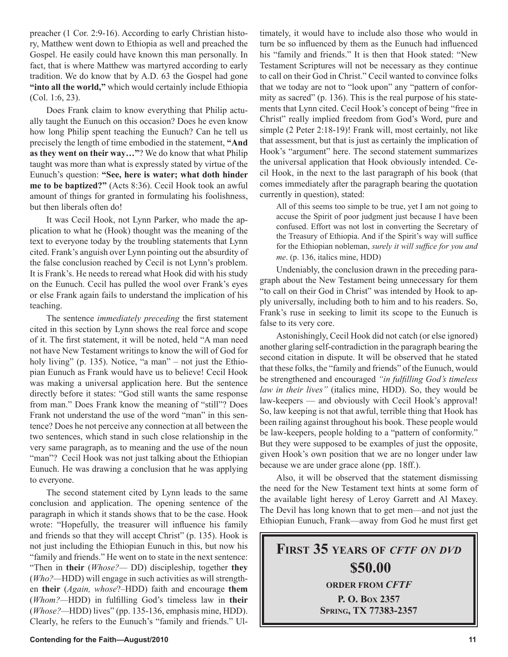preacher (1 Cor. 2:9-16). According to early Christian history, Matthew went down to Ethiopia as well and preached the Gospel. He easily could have known this man personally. In fact, that is where Matthew was martyred according to early tradition. We do know that by A.D. 63 the Gospel had gone "into all the world," which would certainly include Ethiopia (Col. 1:6, 23).

Does Frank claim to know everything that Philip actually taught the Eunuch on this occasion? Does he even know how long Philip spent teaching the Eunuch? Can he tell us precisely the length of time embodied in the statement, **"And as they went on their way…"**? We do know that what Philip taught was more than what is expressly stated by virtue of the Eunuch's question: **"See, here is water; what doth hinder me to be baptized?"** (Acts 8:36). Cecil Hook took an awful amount of things for granted in formulating his foolishness, but then liberals often do!

It was Cecil Hook, not Lynn Parker, who made the application to what he (Hook) thought was the meaning of the text to everyone today by the troubling statements that Lynn cited. Frank's anguish over Lynn pointing out the absurdity of the false conclusion reached by Cecil is not Lynn's problem. It is Frank's. He needs to reread what Hook did with his study on the Eunuch. Cecil has pulled the wool over Frank's eyes or else Frank again fails to understand the implication of his teaching.

The sentence *immediately preceding* the first statement cited in this section by Lynn shows the real force and scope of it. The first statement, it will be noted, held "A man need not have New Testament writings to know the will of God for holy living" (p. 135). Notice, "a man" – not just the Ethiopian Eunuch as Frank would have us to believe! Cecil Hook was making a universal application here. But the sentence directly before it states: "God still wants the same response from man." Does Frank know the meaning of "still"? Does Frank not understand the use of the word "man" in this sentence? Does he not perceive any connection at all between the two sentences, which stand in such close relationship in the very same paragraph, as to meaning and the use of the noun "man"? Cecil Hook was not just talking about the Ethiopian Eunuch. He was drawing a conclusion that he was applying to everyone.

The second statement cited by Lynn leads to the same conclusion and application. The opening sentence of the paragraph in which it stands shows that to be the case. Hook wrote: "Hopefully, the treasurer will influence his family and friends so that they will accept Christ" (p. 135). Hook is not just including the Ethiopian Eunuch in this, but now his "family and friends." He went on to state in the next sentence: "Then in **their** (*Whose?—* DD) discipleship, together **they** (*Who?—*HDD) will engage in such activities as will strengthen **their** (*Again, whose*?–HDD) faith and encourage **them** (*Whom?—*HDD) in fulfilling God's timeless law in **their** (*Whose?—*HDD) lives" (pp. 135-136, emphasis mine, HDD). Clearly, he refers to the Eunuch's "family and friends." Ultimately, it would have to include also those who would in turn be so influenced by them as the Eunuch had influenced his "family and friends." It is then that Hook stated: "New Testament Scriptures will not be necessary as they continue to call on their God in Christ." Cecil wanted to convince folks that we today are not to "look upon" any "pattern of conformity as sacred" (p. 136). This is the real purpose of his statements that Lynn cited. Cecil Hook's concept of being "free in Christ" really implied freedom from God's Word, pure and simple (2 Peter 2:18-19)! Frank will, most certainly, not like that assessment, but that is just as certainly the implication of Hook's "argument" here. The second statement summarizes the universal application that Hook obviously intended. Cecil Hook, in the next to the last paragraph of his book (that comes immediately after the paragraph bearing the quotation currently in question), stated:

All of this seems too simple to be true, yet I am not going to accuse the Spirit of poor judgment just because I have been confused. Effort was not lost in converting the Secretary of the Treasury of Ethiopia. And if the Spirit's way will suffice for the Ethiopian nobleman, *surely it will suffice for you and me*. (p. 136, italics mine, HDD)

Undeniably, the conclusion drawn in the preceding paragraph about the New Testament being unnecessary for them "to call on their God in Christ" was intended by Hook to apply universally, including both to him and to his readers. So, Frank's ruse in seeking to limit its scope to the Eunuch is false to its very core.

Astonishingly, Cecil Hook did not catch (or else ignored) another glaring self-contradiction in the paragraph bearing the second citation in dispute. It will be observed that he stated that these folks, the "family and friends" of the Eunuch, would be strengthened and encouraged *"in fulfilling God's timeless law in their lives"* (italics mine, HDD). So, they would be law-keepers — and obviously with Cecil Hook's approval! So, law keeping is not that awful, terrible thing that Hook has been railing against throughout his book. These people would be law-keepers, people holding to a "pattern of conformity." But they were supposed to be examples of just the opposite, given Hook's own position that we are no longer under law because we are under grace alone (pp. 18ff.).

Also, it will be observed that the statement dismissing the need for the New Testament text hints at some form of the available light heresy of Leroy Garrett and Al Maxey. The Devil has long known that to get men—and not just the Ethiopian Eunuch, Frank—away from God he must first get

**FIRST 35 YEARS OF** *CFTF ON DVD* **\$50.00 ORDER FROM** *CFTF* **P. O. BOX 2357 SPRING, TX 77383-2357**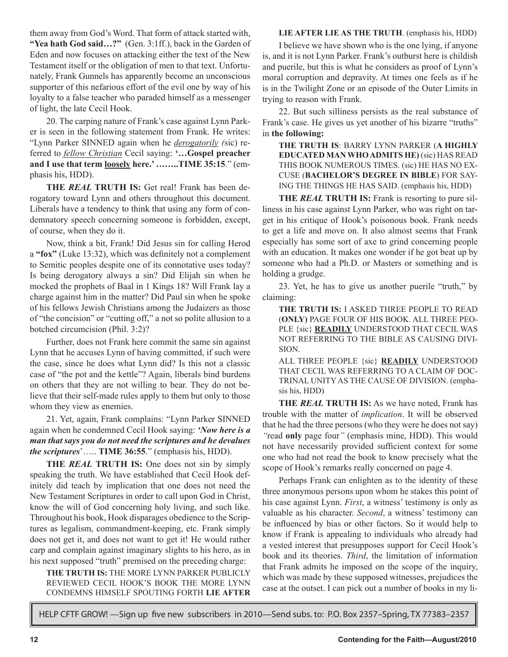them away from God's Word. That form of attack started with, **"Yea hath God said…?"** (Gen. 3:1ff.), back in the Garden of Eden and now focuses on attacking either the text of the New Testament itself or the obligation of men to that text. Unfortunately, Frank Gunnels has apparently become an unconscious supporter of this nefarious effort of the evil one by way of his loyalty to a false teacher who paraded himself as a messenger of light, the late Cecil Hook.

20. The carping nature of Frank's case against Lynn Parker is seen in the following statement from Frank. He writes: "Lynn Parker SINNED again when he *derogatorily (*sic) referred to *fellow Christian* Cecil saying: **'…Gospel preacher and I use that term loosely here.' ……..TIME 35:15**." (emphasis his, HDD).

**THE** *REAL* **TRUTH IS:** Get real! Frank has been derogatory toward Lynn and others throughout this document. Liberals have a tendency to think that using any form of condemnatory speech concerning someone is forbidden, except, of course, when they do it.

Now, think a bit, Frank! Did Jesus sin for calling Herod a **"fox"** (Luke 13:32), which was definitely not a complement to Semitic peoples despite one of its connotative uses today? Is being derogatory always a sin? Did Elijah sin when he mocked the prophets of Baal in 1 Kings 18? Will Frank lay a charge against him in the matter? Did Paul sin when he spoke of his fellows Jewish Christians among the Judaizers as those of "the concision" or "cutting off," a not so polite allusion to a botched circumcision (Phil. 3:2)?

Further, does not Frank here commit the same sin against Lynn that he accuses Lynn of having committed, if such were the case, since he does what Lynn did? Is this not a classic case of "the pot and the kettle"? Again, liberals bind burdens on others that they are not willing to bear. They do not believe that their self-made rules apply to them but only to those whom they view as enemies.

21. Yet, again, Frank complains: "Lynn Parker SINNED again when he condemned Cecil Hook saying: *'Now here is a man that says you do not need the scriptures and he devalues the scriptures*'….. **TIME 36:55**." (emphasis his, HDD).

**THE** *REAL* **TRUTH IS:** One does not sin by simply speaking the truth. We have established that Cecil Hook definitely did teach by implication that one does not need the New Testament Scriptures in order to call upon God in Christ, know the will of God concerning holy living, and such like. Throughout his book, Hook disparages obedience to the Scriptures as legalism, commandment-keeping, etc. Frank simply does not get it, and does not want to get it! He would rather carp and complain against imaginary slights to his hero, as in his next supposed "truth" premised on the preceding charge:

**THE TRUTH IS:** THE MORE LYNN PARKER PUBLICLY REVIEWED CECIL HOOK'S BOOK THE MORE LYNN CONDEMNS HIMSELF SPOUTING FORTH **LIE AFTER** 

### **LIE AFTER LIE AS THE TRUTH**. (emphasis his, HDD)

I believe we have shown who is the one lying, if anyone is, and it is not Lynn Parker. Frank's outburst here is childish and puerile, but this is what he considers as proof of Lynn's moral corruption and depravity. At times one feels as if he is in the Twilight Zone or an episode of the Outer Limits in trying to reason with Frank.

22. But such silliness persists as the real substance of Frank's case. He gives us yet another of his bizarre "truths" in **the following:**

**THE TRUTH IS**: BARRY LYNN PARKER (**A HIGHLY EDUCATED MAN WHO ADMITS HE)** (sic) HAS READ THIS BOOK NUMEROUS TIMES. (sic) HE HAS NO EX-CUSE (**BACHELOR'S DEGREE IN BIBLE**) FOR SAY-ING THE THINGS HE HAS SAID. (emphasis his, HDD)

**THE** *REAL* **TRUTH IS:** Frank is resorting to pure silliness in his case against Lynn Parker, who was right on target in his critique of Hook's poisonous book. Frank needs to get a life and move on. It also almost seems that Frank especially has some sort of axe to grind concerning people with an education. It makes one wonder if he got beat up by someone who had a Ph.D. or Masters or something and is holding a grudge.

23. Yet, he has to give us another puerile "truth," by claiming:

**THE TRUTH IS:** I ASKED THREE PEOPLE TO READ (**ONLY)** PAGE FOUR OF HIS BOOK. ALL THREE PEO-PLE {sic} **READILY** UNDERSTOOD THAT CECIL WAS NOT REFERRING TO THE BIBLE AS CAUSING DIVI-SION.

ALL THREE PEOPLE {sic} **READILY** UNDERSTOOD THAT CECIL WAS REFERRING TO A CLAIM OF DOC-TRINAL UNITY AS THE CAUSE OF DIVISION. (emphasis his, HDD)

**THE** *REAL* **TRUTH IS:** As we have noted, Frank has trouble with the matter of *implication*. It will be observed that he had the three persons (who they were he does not say) *"*read **only** page four*"* (emphasis mine, HDD). This would not have necessarily provided sufficient context for some one who had not read the book to know precisely what the scope of Hook's remarks really concerned on page 4.

Perhaps Frank can enlighten as to the identity of these three anonymous persons upon whom he stakes this point of his case against Lynn. *First*, a witness' testimony is only as valuable as his character. *Second*, a witness' testimony can be influenced by bias or other factors. So it would help to know if Frank is appealing to individuals who already had a vested interest that presupposes support for Cecil Hook's book and its theories. *Third*, the limitation of information that Frank admits he imposed on the scope of the inquiry, which was made by these supposed witnesses, prejudices the case at the outset. I can pick out a number of books in my li-

HELP CFTF GROW! —Sign up five new subscribers in 2010—Send subs. to: P.O. Box 2357–Spring, TX 77383–2357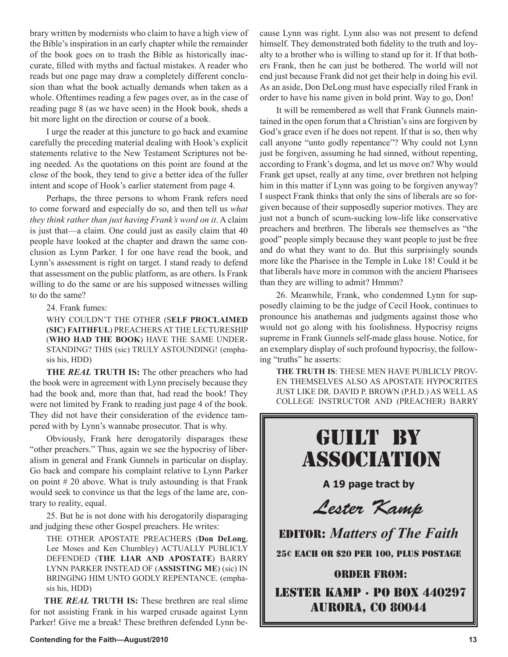brary written by modernists who claim to have a high view of the Bible's inspiration in an early chapter while the remainder of the book goes on to trash the Bible as historically inaccurate, filled with myths and factual mistakes. A reader who reads but one page may draw a completely different conclusion than what the book actually demands when taken as a whole. Oftentimes reading a few pages over, as in the case of reading page 8 (as we have seen) in the Hook book, sheds a bit more light on the direction or course of a book.

I urge the reader at this juncture to go back and examine carefully the preceding material dealing with Hook's explicit statements relative to the New Testament Scriptures not being needed. As the quotations on this point are found at the close of the book, they tend to give a better idea of the fuller intent and scope of Hook's earlier statement from page 4.

Perhaps, the three persons to whom Frank refers need to come forward and especially do so, and then tell us *what they think rather than just having Frank's word on it*. A claim is just that—a claim. One could just as easily claim that 40 people have looked at the chapter and drawn the same conclusion as Lynn Parker. I for one have read the book, and Lynn's assessment is right on target. I stand ready to defend that assessment on the public platform, as are others. Is Frank willing to do the same or are his supposed witnesses willing to do the same?

24. Frank fumes:

WHY COULDN'T THE OTHER (S**ELF PROCLAIMED (SIC) FAITHFUL**) PREACHERS AT THE LECTURESHIP (**WHO HAD THE BOOK**) HAVE THE SAME UNDER-STANDING? THIS (sic) TRULY ASTOUNDING! (emphasis his, HDD)

**THE** *REAL* **TRUTH IS:** The other preachers who had the book were in agreement with Lynn precisely because they had the book and, more than that, had read the book! They were not limited by Frank to reading just page 4 of the book. They did not have their consideration of the evidence tampered with by Lynn's wannabe prosecutor. That is why.

Obviously, Frank here derogatorily disparages these "other preachers." Thus, again we see the hypocrisy of liberalism in general and Frank Gunnels in particular on display. Go back and compare his complaint relative to Lynn Parker on point  $# 20$  above. What is truly astounding is that Frank would seek to convince us that the legs of the lame are, contrary to reality, equal.

25. But he is not done with his derogatorily disparaging and judging these other Gospel preachers. He writes:

THE OTHER APOSTATE PREACHERS (**Don DeLong**, Lee Moses and Ken Chumbley) ACTUALLY PUBLICLY DEFENDED (**THE LIAR AND APOSTATE**) BARRY LYNN PARKER INSTEAD OF (**ASSISTING ME**) (sic) IN BRINGING HIM UNTO GODLY REPENTANCE. (emphasis his, HDD)

**THE** *REAL* **TRUTH IS:** These brethren are real slime for not assisting Frank in his warped crusade against Lynn Parker! Give me a break! These brethren defended Lynn because Lynn was right. Lynn also was not present to defend himself. They demonstrated both fidelity to the truth and loyalty to a brother who is willing to stand up for it. If that bothers Frank, then he can just be bothered. The world will not end just because Frank did not get their help in doing his evil. As an aside, Don DeLong must have especially riled Frank in order to have his name given in bold print. Way to go, Don!

It will be remembered as well that Frank Gunnels maintained in the open forum that a Christian's sins are forgiven by God's grace even if he does not repent. If that is so, then why call anyone "unto godly repentance"? Why could not Lynn just be forgiven, assuming he had sinned, without repenting, according to Frank's dogma, and let us move on? Why would Frank get upset, really at any time, over brethren not helping him in this matter if Lynn was going to be forgiven anyway? I suspect Frank thinks that only the sins of liberals are so forgiven because of their supposedly superior motives. They are just not a bunch of scum-sucking low-life like conservative preachers and brethren. The liberals see themselves as "the good" people simply because they want people to just be free and do what they want to do. But this surprisingly sounds more like the Pharisee in the Temple in Luke 18! Could it be that liberals have more in common with the ancient Pharisees than they are willing to admit? Hmmm?

26. Meanwhile, Frank, who condemned Lynn for supposedly claiming to be the judge of Cecil Hook, continues to pronounce his anathemas and judgments against those who would not go along with his foolishness. Hypocrisy reigns supreme in Frank Gunnels self-made glass house. Notice, for an exemplary display of such profound hypocrisy, the following "truths" he asserts:

**THE TRUTH IS**: THESE MEN HAVE PUBLICLY PROV-EN THEMSELVES ALSO AS APOSTATE HYPOCRITES JUST LIKE DR. DAVID P. BROWN (P.H.D.) AS WELL AS COLLEGE INSTRUCTOR AND (PREACHER) BARRY

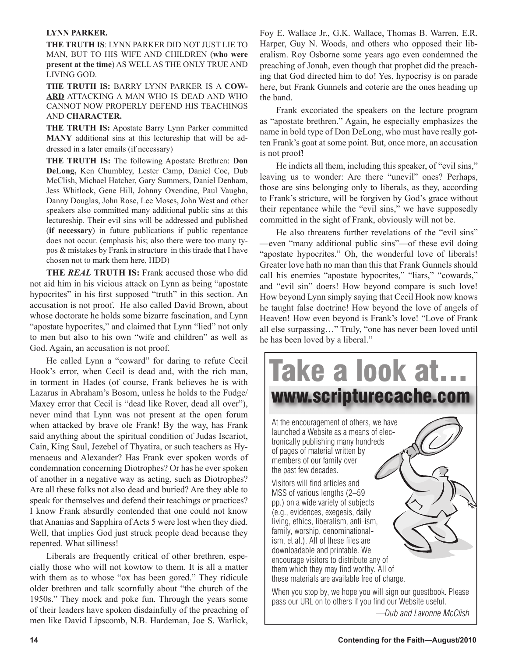### **LYNN PARKER.**

**THE TRUTH IS**: LYNN PARKER DID NOT JUST LIE TO MAN, BUT TO HIS WIFE AND CHILDREN (**who were present at the time**) AS WELL AS THE ONLY TRUE AND LIVING GOD.

**THE TRUTH IS:** BARRY LYNN PARKER IS A **COW-ARD** ATTACKING A MAN WHO IS DEAD AND WHO CANNOT NOW PROPERLY DEFEND HIS TEACHINGS AND **CHARACTER.**

**THE TRUTH IS:** Apostate Barry Lynn Parker committed **MANY** additional sins at this lectureship that will be addressed in a later emails (if necessary)

**THE TRUTH IS:** The following Apostate Brethren: **Don DeLong,** Ken Chumbley, Lester Camp, Daniel Coe, Dub McClish, Michael Hatcher, Gary Summers, Daniel Denham, Jess Whitlock, Gene Hill, Johnny Oxendine, Paul Vaughn, Danny Douglas, John Rose, Lee Moses, John West and other speakers also committed many additional public sins at this lectureship. Their evil sins will be addressed and published (**if necessary**) in future publications if public repentance does not occur. (emphasis his; also there were too many typos & mistakes by Frank in structure in this tirade that I have chosen not to mark them here, HDD)

**THE** *REAL* **TRUTH IS:** Frank accused those who did not aid him in his vicious attack on Lynn as being "apostate hypocrites" in his first supposed "truth" in this section. An accusation is not proof. He also called David Brown, about whose doctorate he holds some bizarre fascination, and Lynn "apostate hypocrites," and claimed that Lynn "lied" not only to men but also to his own "wife and children" as well as God. Again, an accusation is not proof.

He called Lynn a "coward" for daring to refute Cecil Hook's error, when Cecil is dead and, with the rich man, in torment in Hades (of course, Frank believes he is with Lazarus in Abraham's Bosom, unless he holds to the Fudge/ Maxey error that Cecil is "dead like Rover, dead all over"), never mind that Lynn was not present at the open forum when attacked by brave ole Frank! By the way, has Frank said anything about the spiritual condition of Judas Iscariot, Cain, King Saul, Jezebel of Thyatira, or such teachers as Hymenaeus and Alexander? Has Frank ever spoken words of condemnation concerning Diotrophes? Or has he ever spoken of another in a negative way as acting, such as Diotrophes? Are all these folks not also dead and buried? Are they able to speak for themselves and defend their teachings or practices? I know Frank absurdly contended that one could not know that Ananias and Sapphira of Acts 5 were lost when they died. Well, that implies God just struck people dead because they repented. What silliness!

Liberals are frequently critical of other brethren, especially those who will not kowtow to them. It is all a matter with them as to whose "ox has been gored." They ridicule older brethren and talk scornfully about "the church of the 1950s." They mock and poke fun. Through the years some of their leaders have spoken disdainfully of the preaching of men like David Lipscomb, N.B. Hardeman, Joe S. Warlick,

Foy E. Wallace Jr., G.K. Wallace, Thomas B. Warren, E.R. Harper, Guy N. Woods, and others who opposed their liberalism. Roy Osborne some years ago even condemned the preaching of Jonah, even though that prophet did the preaching that God directed him to do! Yes, hypocrisy is on parade here, but Frank Gunnels and coterie are the ones heading up the band.

Frank excoriated the speakers on the lecture program as "apostate brethren." Again, he especially emphasizes the name in bold type of Don DeLong, who must have really gotten Frank's goat at some point. But, once more, an accusation is not proof!

He indicts all them, including this speaker, of "evil sins," leaving us to wonder: Are there "unevil" ones? Perhaps, those are sins belonging only to liberals, as they, according to Frank's stricture, will be forgiven by God's grace without their repentance while the "evil sins," we have supposedly committed in the sight of Frank, obviously will not be.

He also threatens further revelations of the "evil sins" —even "many additional public sins"—of these evil doing "apostate hypocrites." Oh, the wonderful love of liberals! Greater love hath no man than this that Frank Gunnels should call his enemies "apostate hypocrites," "liars," "cowards," and "evil sin" doers! How beyond compare is such love! How beyond Lynn simply saying that Cecil Hook now knows he taught false doctrine! How beyond the love of angels of Heaven! How even beyond is Frank's love! "Love of Frank all else surpassing…" Truly, "one has never been loved until he has been loved by a liberal."



*—Dub and Lavonne McClish*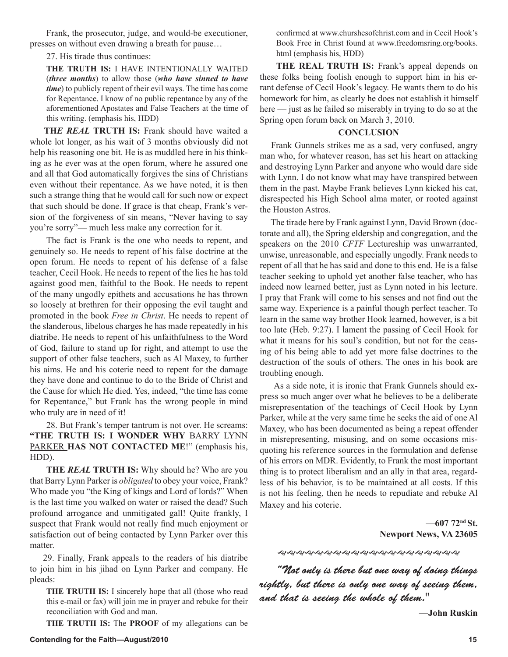Frank, the prosecutor, judge, and would-be executioner, presses on without even drawing a breath for pause…

27. His tirade thus continues:

**THE TRUTH IS:** I HAVE INTENTIONALLY WAITED (*three months*) to allow those (*who have sinned to have time*) to publicly repent of their evil ways. The time has come for Repentance. I know of no public repentance by any of the aforementioned Apostates and False Teachers at the time of this writing. (emphasis his, HDD)

**TH***E REAL* **TRUTH IS:** Frank should have waited a whole lot longer, as his wait of 3 months obviously did not help his reasoning one bit. He is as muddled here in his thinking as he ever was at the open forum, where he assured one and all that God automatically forgives the sins of Christians even without their repentance. As we have noted, it is then such a strange thing that he would call for such now or expect that such should be done. If grace is that cheap, Frank's version of the forgiveness of sin means, "Never having to say you're sorry"— much less make any correction for it.

The fact is Frank is the one who needs to repent, and genuinely so. He needs to repent of his false doctrine at the open forum. He needs to repent of his defense of a false teacher, Cecil Hook. He needs to repent of the lies he has told against good men, faithful to the Book. He needs to repent of the many ungodly epithets and accusations he has thrown so loosely at brethren for their opposing the evil taught and promoted in the book *Free in Christ*. He needs to repent of the slanderous, libelous charges he has made repeatedly in his diatribe. He needs to repent of his unfaithfulness to the Word of God, failure to stand up for right, and attempt to use the support of other false teachers, such as Al Maxey, to further his aims. He and his coterie need to repent for the damage they have done and continue to do to the Bride of Christ and the Cause for which He died. Yes, indeed, "the time has come for Repentance," but Frank has the wrong people in mind who truly are in need of it!

28. But Frank's temper tantrum is not over. He screams: **"THE TRUTH IS: I WONDER WHY** BARRY LYNN PARKER **HAS NOT CONTACTED ME**!" (emphasis his, HDD).

**THE** *REAL* **TRUTH IS:** Why should he? Who are you that Barry Lynn Parker is *obligated* to obey your voice, Frank? Who made you "the King of kings and Lord of lords?" When is the last time you walked on water or raised the dead? Such profound arrogance and unmitigated gall! Quite frankly, I suspect that Frank would not really find much enjoyment or satisfaction out of being contacted by Lynn Parker over this matter.

 29. Finally, Frank appeals to the readers of his diatribe to join him in his jihad on Lynn Parker and company. He pleads:

**THE TRUTH IS:** I sincerely hope that all (those who read this e-mail or fax) will join me in prayer and rebuke for their reconciliation with God and man.

**THE TRUTH IS:** The **PROOF** of my allegations can be

confirmed at www.churshesofchrist.com and in Cecil Hook's Book Free in Christ found at www.freedomsring.org/books. html (emphasis his, HDD)

**THE REAL TRUTH IS:** Frank's appeal depends on these folks being foolish enough to support him in his errant defense of Cecil Hook's legacy. He wants them to do his homework for him, as clearly he does not establish it himself here — just as he failed so miserably in trying to do so at the Spring open forum back on March 3, 2010.

### **CONCLUSION**

 Frank Gunnels strikes me as a sad, very confused, angry man who, for whatever reason, has set his heart on attacking and destroying Lynn Parker and anyone who would dare side with Lynn. I do not know what may have transpired between them in the past. Maybe Frank believes Lynn kicked his cat, disrespected his High School alma mater, or rooted against the Houston Astros.

 The tirade here by Frank against Lynn, David Brown (doctorate and all), the Spring eldership and congregation, and the speakers on the 2010 *CFTF* Lectureship was unwarranted, unwise, unreasonable, and especially ungodly. Frank needs to repent of all that he has said and done to this end. He is a false teacher seeking to uphold yet another false teacher, who has indeed now learned better, just as Lynn noted in his lecture. I pray that Frank will come to his senses and not find out the same way. Experience is a painful though perfect teacher. To learn in the same way brother Hook learned, however, is a bit too late (Heb. 9:27). I lament the passing of Cecil Hook for what it means for his soul's condition, but not for the ceasing of his being able to add yet more false doctrines to the destruction of the souls of others. The ones in his book are troubling enough.

 As a side note, it is ironic that Frank Gunnels should express so much anger over what he believes to be a deliberate misrepresentation of the teachings of Cecil Hook by Lynn Parker, while at the very same time he seeks the aid of one Al Maxey, who has been documented as being a repeat offender in misrepresenting, misusing, and on some occasions misquoting his reference sources in the formulation and defense of his errors on MDR. Evidently, to Frank the most important thing is to protect liberalism and an ally in that area, regardless of his behavior, is to be maintained at all costs. If this is not his feeling, then he needs to repudiate and rebuke Al Maxey and his coterie.

> **—607 72nd St. Newport News, VA 23605**

"Not only is there but one way of doing things rightly, but there is only one way of seeing them, and that is seeing the whole of them."

**—John Ruskin**